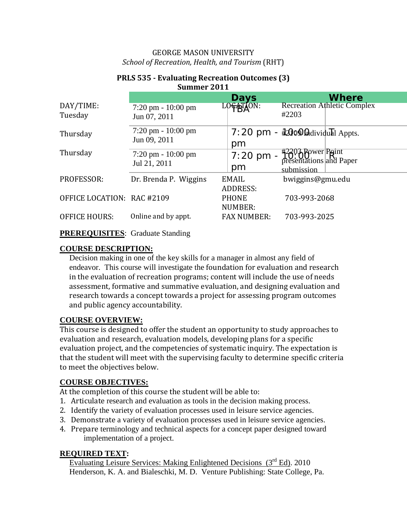### GEORGE MASON UNIVERSITY *School of Recreation, Health, and Tourism* (RHT)

|                            |                                      |                    | <b>Where</b>                                 |
|----------------------------|--------------------------------------|--------------------|----------------------------------------------|
| DAY/TIME:                  | $7:20 \text{ pm} - 10:00 \text{ pm}$ | Days<br>LOGATION:  | <b>Recreation Athletic Complex</b><br>#2203  |
| Tuesday                    | Jun 07, 2011                         |                    |                                              |
| Thursday                   | $7:20 \text{ pm} - 10:00 \text{ pm}$ |                    | 7:20 pm - #2000 Cadividual Appts.            |
|                            | Jun 09, 2011                         | pm                 |                                              |
| Thursday                   | $7:20 \text{ pm} - 10:00 \text{ pm}$ | $7:20$ pm -        | #2203 Bower Paint<br>presentations and Paper |
|                            | Jul 21, 2011                         | pm                 | submission                                   |
| PROFESSOR:                 | Dr. Brenda P. Wiggins                | EMAIL              | bwiggins@gmu.edu                             |
|                            |                                      | ADDRESS:           |                                              |
| OFFICE LOCATION: RAC #2109 |                                      | <b>PHONE</b>       | 703-993-2068                                 |
|                            |                                      | NUMBER:            |                                              |
| <b>OFFICE HOURS:</b>       | Online and by appt.                  | <b>FAX NUMBER:</b> | 703-993-2025                                 |

#### **PRLS 535 - Evaluating Recreation Outcomes (3) Summer 2011**

**PREREQUISITES**: Graduate Standing

### **COURSE DESCRIPTION:**

Decision making in one of the key skills for a manager in almost any field of endeavor. This course will investigate the foundation for evaluation and research in the evaluation of recreation programs; content will include the use of needs assessment, formative and summative evaluation, and designing evaluation and research towards a concept towards a project for assessing program outcomes and public agency accountability.

# **COURSE OVERVIEW:**

This course is designed to offer the student an opportunity to study approaches to evaluation and research, evaluation models, developing plans for a specific evaluation project, and the competencies of systematic inquiry. The expectation is that the student will meet with the supervising faculty to determine specific criteria to meet the objectives below.

### **COURSE OBJECTIVES:**

At the completion of this course the student will be able to:

- 1. Articulate research and evaluation as tools in the decision making process.
- 2. Identify the variety of evaluation processes used in leisure service agencies.
- 3. Demonstrate a variety of evaluation processes used in leisure service agencies.
- 4. Prepare terminology and technical aspects for a concept paper designed toward implementation of a project.

### **REQUIRED TEXT:**

Evaluating Leisure Services: Making Enlightened Decisions  $(3<sup>rd</sup> Ed)$ . 2010 Henderson, K. A. and Bialeschki, M. D. Venture Publishing: State College, Pa.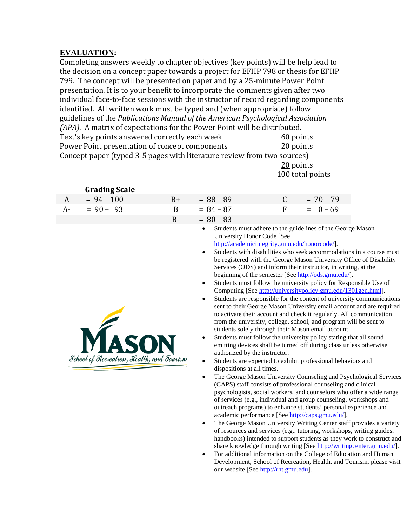## **EVALUATION :**

Completing answers weekly to chapter objectives (key points) will be help lead to the decision on a concept paper towards a project for EFHP 798 or thesis for EFHP 799. The concept will be presented on paper and by a 25-minute Power Point presentation. It is to your benefit to incorporate the comments given after two individual face-to-face sessions with the instructor of record regarding components identified. All written work must be typed and (when appropriate) follow guidelines of the *Publications Manual of the American Psychological Association (APA)*. A matrix of expectations for the Power Point will be distributed.<br>Text's key points answered correctly each week 60 points Text's key points answered correctly each week 60 points<br>
Power Point presentation of concept components 20 points Power Point presentation of concept components Concept paper (typed 3-5 pages with literature review from two sources) <u>20</u> points

100 total points

|      | <b>Grading Scale</b>                              |       |                                                                                                      |                                                                                                                                                                                                                                                                                                                                                                                                                                                                                                                                                                                                                                                                                                                                                                                                                                                                                                                                                                                                                                                                                                                                                   |                |  |             |                                                                                                                                                                                                                                                                                                                                                                                                                                                                                                                                                                                                                                                                   |
|------|---------------------------------------------------|-------|------------------------------------------------------------------------------------------------------|---------------------------------------------------------------------------------------------------------------------------------------------------------------------------------------------------------------------------------------------------------------------------------------------------------------------------------------------------------------------------------------------------------------------------------------------------------------------------------------------------------------------------------------------------------------------------------------------------------------------------------------------------------------------------------------------------------------------------------------------------------------------------------------------------------------------------------------------------------------------------------------------------------------------------------------------------------------------------------------------------------------------------------------------------------------------------------------------------------------------------------------------------|----------------|--|-------------|-------------------------------------------------------------------------------------------------------------------------------------------------------------------------------------------------------------------------------------------------------------------------------------------------------------------------------------------------------------------------------------------------------------------------------------------------------------------------------------------------------------------------------------------------------------------------------------------------------------------------------------------------------------------|
| A    | $= 94 - 100$                                      | $B+$  |                                                                                                      | $= 88 - 89$                                                                                                                                                                                                                                                                                                                                                                                                                                                                                                                                                                                                                                                                                                                                                                                                                                                                                                                                                                                                                                                                                                                                       | $\mathsf C$    |  | $= 70 - 79$ |                                                                                                                                                                                                                                                                                                                                                                                                                                                                                                                                                                                                                                                                   |
| $A-$ | $= 90 - 93$                                       | B     |                                                                                                      | $= 84 - 87$                                                                                                                                                                                                                                                                                                                                                                                                                                                                                                                                                                                                                                                                                                                                                                                                                                                                                                                                                                                                                                                                                                                                       | $\overline{F}$ |  | $= 0 - 69$  |                                                                                                                                                                                                                                                                                                                                                                                                                                                                                                                                                                                                                                                                   |
|      |                                                   | $B -$ |                                                                                                      | $= 80 - 83$                                                                                                                                                                                                                                                                                                                                                                                                                                                                                                                                                                                                                                                                                                                                                                                                                                                                                                                                                                                                                                                                                                                                       |                |  |             |                                                                                                                                                                                                                                                                                                                                                                                                                                                                                                                                                                                                                                                                   |
|      | <b>School of Recreation</b> , Health, and Tourism |       | $\bullet$<br>$\bullet$<br>$\bullet$<br>$\bullet$<br>$\bullet$<br>$\bullet$<br>$\bullet$<br>$\bullet$ | Students must adhere to the guidelines of the George Mason<br>University Honor Code [See<br>http://academicintegrity.gmu.edu/honorcode/].<br>Services (ODS) and inform their instructor, in writing, at the<br>beginning of the semester [See http://ods.gmu.edu/].<br>Students must follow the university policy for Responsible Use of<br>Computing [See http://universitypolicy.gmu.edu/1301gen.html].<br>to activate their account and check it regularly. All communication<br>from the university, college, school, and program will be sent to<br>students solely through their Mason email account.<br>Students must follow the university policy stating that all sound<br>emitting devices shall be turned off during class unless otherwise<br>authorized by the instructor.<br>Students are expected to exhibit professional behaviors and<br>dispositions at all times.<br>(CAPS) staff consists of professional counseling and clinical<br>of services (e.g., individual and group counseling, workshops and<br>outreach programs) to enhance students' personal experience and<br>academic performance [See http://caps.gmu.edu/]. |                |  |             | Students with disabilities who seek accommodations in a course must<br>be registered with the George Mason University Office of Disability<br>Students are responsible for the content of university communications<br>sent to their George Mason University email account and are required<br>The George Mason University Counseling and Psychological Services<br>psychologists, social workers, and counselors who offer a wide range<br>The George Mason University Writing Center staff provides a variety<br>of resources and services (e.g., tutoring, workshops, writing guides,<br>handbooks) intended to support students as they work to construct and |

• For additional information on the College of Education and Human Development, School of Recreation, Health, and Tourism, please visit our website [See [http://rht.gmu.edu\]](http://rht.gmu.edu/).

share knowledge through writing [See [http://writingcenter.gmu.edu/\]](http://writingcenter.gmu.edu/).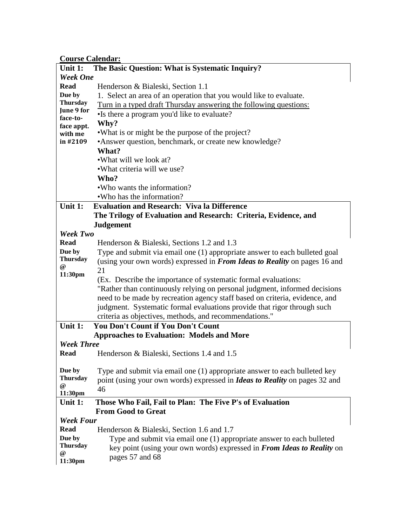**Course Calendar :**

|                        | Course Calendar                                                                   |  |  |  |  |  |
|------------------------|-----------------------------------------------------------------------------------|--|--|--|--|--|
| Unit 1:                | The Basic Question: What is Systematic Inquiry?                                   |  |  |  |  |  |
| <b>Week One</b>        |                                                                                   |  |  |  |  |  |
| <b>Read</b>            | Henderson & Bialeski, Section 1.1                                                 |  |  |  |  |  |
| Due by                 | 1. Select an area of an operation that you would like to evaluate.                |  |  |  |  |  |
| <b>Thursday</b>        | Turn in a typed draft Thursday answering the following questions:                 |  |  |  |  |  |
| June 9 for             | •Is there a program you'd like to evaluate?                                       |  |  |  |  |  |
| face-to-<br>face appt. | Why?                                                                              |  |  |  |  |  |
| with me                | • What is or might be the purpose of the project?                                 |  |  |  |  |  |
| in #2109               | •Answer question, benchmark, or create new knowledge?                             |  |  |  |  |  |
|                        | What?                                                                             |  |  |  |  |  |
|                        | •What will we look at?                                                            |  |  |  |  |  |
|                        | • What criteria will we use?                                                      |  |  |  |  |  |
|                        | Who?                                                                              |  |  |  |  |  |
|                        | •Who wants the information?                                                       |  |  |  |  |  |
|                        | • Who has the information?                                                        |  |  |  |  |  |
| Unit 1:                | <b>Evaluation and Research: Viva la Difference</b>                                |  |  |  |  |  |
|                        | The Trilogy of Evaluation and Research: Criteria, Evidence, and                   |  |  |  |  |  |
|                        | <b>Judgement</b>                                                                  |  |  |  |  |  |
| <b>Week Two</b>        |                                                                                   |  |  |  |  |  |
| <b>Read</b>            | Henderson & Bialeski, Sections 1.2 and 1.3                                        |  |  |  |  |  |
| Due by                 |                                                                                   |  |  |  |  |  |
| <b>Thursday</b>        | Type and submit via email one (1) appropriate answer to each bulleted goal        |  |  |  |  |  |
| $\omega$               | (using your own words) expressed in From Ideas to Reality on pages 16 and<br>21   |  |  |  |  |  |
| 11:30pm                |                                                                                   |  |  |  |  |  |
|                        | (Ex. Describe the importance of systematic formal evaluations:                    |  |  |  |  |  |
|                        | "Rather than continuously relying on personal judgment, informed decisions        |  |  |  |  |  |
|                        | need to be made by recreation agency staff based on criteria, evidence, and       |  |  |  |  |  |
|                        | judgment. Systematic formal evaluations provide that rigor through such           |  |  |  |  |  |
|                        | criteria as objectives, methods, and recommendations."                            |  |  |  |  |  |
| Unit 1:                | <b>You Don't Count if You Don't Count</b>                                         |  |  |  |  |  |
|                        | <b>Approaches to Evaluation: Models and More</b>                                  |  |  |  |  |  |
| <b>Week Three</b>      |                                                                                   |  |  |  |  |  |
| <b>Read</b>            | Henderson & Bialeski, Sections 1.4 and 1.5                                        |  |  |  |  |  |
| Due by                 | Type and submit via email one (1) appropriate answer to each bulleted key         |  |  |  |  |  |
| <b>Thursday</b>        | point (using your own words) expressed in <i>Ideas to Reality</i> on pages 32 and |  |  |  |  |  |
| @                      | 46                                                                                |  |  |  |  |  |
| 11:30pm                |                                                                                   |  |  |  |  |  |
| Unit 1:                | Those Who Fail, Fail to Plan: The Five P's of Evaluation                          |  |  |  |  |  |
|                        | <b>From Good to Great</b>                                                         |  |  |  |  |  |
| <b>Week Four</b>       |                                                                                   |  |  |  |  |  |
| <b>Read</b>            | Henderson & Bialeski, Section 1.6 and 1.7                                         |  |  |  |  |  |
| Due by                 | Type and submit via email one (1) appropriate answer to each bulleted             |  |  |  |  |  |
| <b>Thursday</b>        | key point (using your own words) expressed in From Ideas to Reality on            |  |  |  |  |  |
| @                      | pages 57 and 68                                                                   |  |  |  |  |  |
| 11:30pm                |                                                                                   |  |  |  |  |  |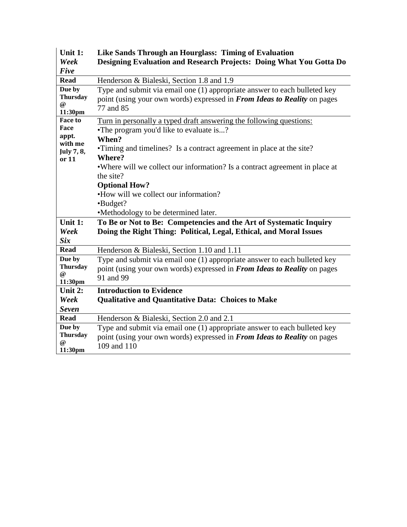| Unit 1:<br>Week                                                   | Like Sands Through an Hourglass: Timing of Evaluation<br>Designing Evaluation and Research Projects: Doing What You Gotta Do                                                                                                                                                                                                                                                                                                |
|-------------------------------------------------------------------|-----------------------------------------------------------------------------------------------------------------------------------------------------------------------------------------------------------------------------------------------------------------------------------------------------------------------------------------------------------------------------------------------------------------------------|
| Five<br><b>Read</b>                                               | Henderson & Bialeski, Section 1.8 and 1.9                                                                                                                                                                                                                                                                                                                                                                                   |
| Due by<br><b>Thursday</b><br>$\omega$<br>11:30pm                  | Type and submit via email one (1) appropriate answer to each bulleted key<br>point (using your own words) expressed in From Ideas to Reality on pages<br>77 and 85                                                                                                                                                                                                                                                          |
| <b>Face to</b><br>Face<br>appt.<br>with me<br>July 7, 8,<br>or 11 | Turn in personally a typed draft answering the following questions:<br>•The program you'd like to evaluate is?<br>When?<br>•Timing and timelines? Is a contract agreement in place at the site?<br>Where?<br>• Where will we collect our information? Is a contract agreement in place at<br>the site?<br><b>Optional How?</b><br>•How will we collect our information?<br>•Budget?<br>•Methodology to be determined later. |
| Unit 1:<br>Week                                                   | To Be or Not to Be: Competencies and the Art of Systematic Inquiry<br>Doing the Right Thing: Political, Legal, Ethical, and Moral Issues                                                                                                                                                                                                                                                                                    |
| <b>Six</b>                                                        |                                                                                                                                                                                                                                                                                                                                                                                                                             |
| <b>Read</b>                                                       | Henderson & Bialeski, Section 1.10 and 1.11                                                                                                                                                                                                                                                                                                                                                                                 |
| Due by<br><b>Thursday</b><br>$\omega$<br>11:30pm                  | Type and submit via email one (1) appropriate answer to each bulleted key<br>point (using your own words) expressed in From Ideas to Reality on pages<br>91 and 99                                                                                                                                                                                                                                                          |
| Unit 2:                                                           | <b>Introduction to Evidence</b>                                                                                                                                                                                                                                                                                                                                                                                             |
| Week                                                              | <b>Qualitative and Quantitative Data: Choices to Make</b>                                                                                                                                                                                                                                                                                                                                                                   |
| <b>Seven</b>                                                      |                                                                                                                                                                                                                                                                                                                                                                                                                             |
| <b>Read</b>                                                       | Henderson & Bialeski, Section 2.0 and 2.1                                                                                                                                                                                                                                                                                                                                                                                   |
| Due by<br><b>Thursday</b><br>@<br>11:30pm                         | Type and submit via email one (1) appropriate answer to each bulleted key<br>point (using your own words) expressed in From Ideas to Reality on pages<br>109 and 110                                                                                                                                                                                                                                                        |